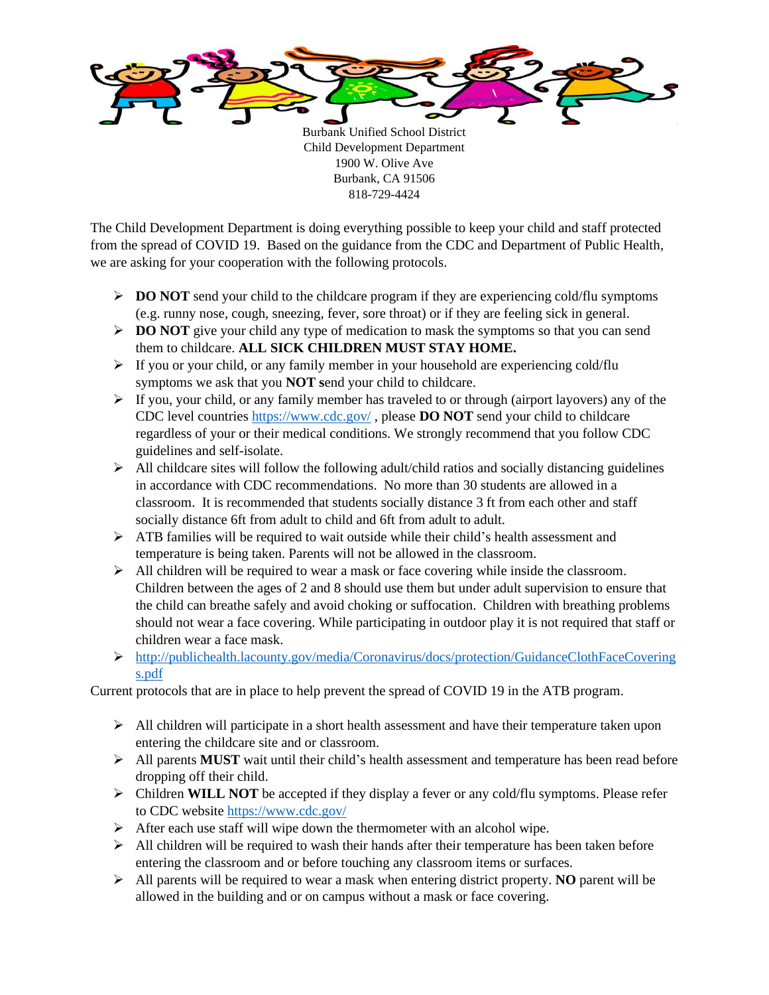

Burbank Unified School District Child Development Department 1900 W. Olive Ave Burbank, CA 91506 818-729-4424

The Child Development Department is doing everything possible to keep your child and staff protected from the spread of COVID 19. Based on the guidance from the CDC and Department of Public Health, we are asking for your cooperation with the following protocols.

- ➢ **DO NOT** send your child to the childcare program if they are experiencing cold/flu symptoms (e.g. runny nose, cough, sneezing, fever, sore throat) or if they are feeling sick in general.
- ➢ **DO NOT** give your child any type of medication to mask the symptoms so that you can send them to childcare. **ALL SICK CHILDREN MUST STAY HOME.**
- $\triangleright$  If you or your child, or any family member in your household are experiencing cold/flu symptoms we ask that you **NOT s**end your child to childcare.
- $\triangleright$  If you, your child, or any family member has traveled to or through (airport layovers) any of the CDC level countries <https://www.cdc.gov/> , please **DO NOT** send your child to childcare regardless of your or their medical conditions. We strongly recommend that you follow CDC guidelines and self-isolate.
- $\triangleright$  All childcare sites will follow the following adult/child ratios and socially distancing guidelines in accordance with CDC recommendations. No more than 30 students are allowed in a classroom. It is recommended that students socially distance 3 ft from each other and staff socially distance 6ft from adult to child and 6ft from adult to adult.
- $\triangleright$  ATB families will be required to wait outside while their child's health assessment and temperature is being taken. Parents will not be allowed in the classroom.
- $\triangleright$  All children will be required to wear a mask or face covering while inside the classroom. Children between the ages of 2 and 8 should use them but under adult supervision to ensure that the child can breathe safely and avoid choking or suffocation. Children with breathing problems should not wear a face covering. While participating in outdoor play it is not required that staff or children wear a face mask.
- ➢ [http://publichealth.lacounty.gov/media/Coronavirus/docs/protection/GuidanceClothFaceCovering](http://publichealth.lacounty.gov/media/Coronavirus/docs/protection/GuidanceClothFaceCoverings.pdf) [s.pdf](http://publichealth.lacounty.gov/media/Coronavirus/docs/protection/GuidanceClothFaceCoverings.pdf)

Current protocols that are in place to help prevent the spread of COVID 19 in the ATB program.

- $\triangleright$  All children will participate in a short health assessment and have their temperature taken upon entering the childcare site and or classroom.
- ➢ All parents **MUST** wait until their child's health assessment and temperature has been read before dropping off their child.
- ➢ Children **WILL NOT** be accepted if they display a fever or any cold/flu symptoms. Please refer to CDC website<https://www.cdc.gov/>
- $\triangleright$  After each use staff will wipe down the thermometer with an alcohol wipe.
- $\triangleright$  All children will be required to wash their hands after their temperature has been taken before entering the classroom and or before touching any classroom items or surfaces.
- ➢ All parents will be required to wear a mask when entering district property. **NO** parent will be allowed in the building and or on campus without a mask or face covering.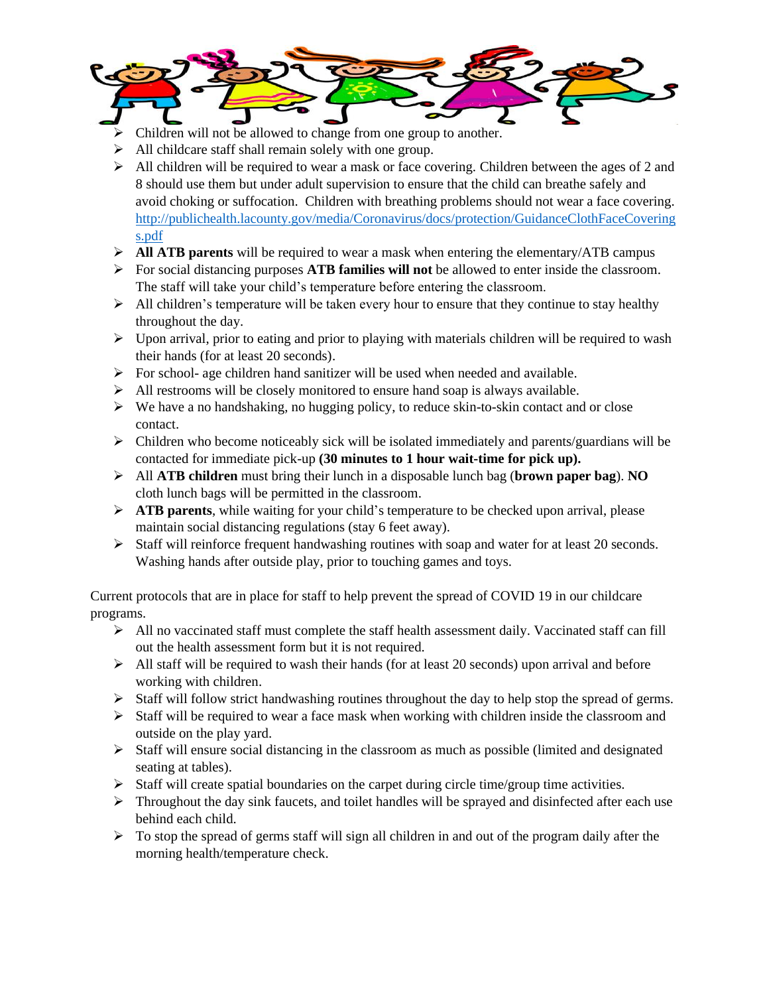

- ➢ Children will not be allowed to change from one group to another.
- ➢ All childcare staff shall remain solely with one group.
- $\triangleright$  All children will be required to wear a mask or face covering. Children between the ages of 2 and 8 should use them but under adult supervision to ensure that the child can breathe safely and avoid choking or suffocation. Children with breathing problems should not wear a face covering. [http://publichealth.lacounty.gov/media/Coronavirus/docs/protection/GuidanceClothFaceCovering](http://publichealth.lacounty.gov/media/Coronavirus/docs/protection/GuidanceClothFaceCoverings.pdf) [s.pdf](http://publichealth.lacounty.gov/media/Coronavirus/docs/protection/GuidanceClothFaceCoverings.pdf)
- ➢ **All ATB parents** will be required to wear a mask when entering the elementary/ATB campus
- ➢ For social distancing purposes **ATB families will not** be allowed to enter inside the classroom. The staff will take your child's temperature before entering the classroom.
- $\triangleright$  All children's temperature will be taken every hour to ensure that they continue to stay healthy throughout the day.
- ➢ Upon arrival, prior to eating and prior to playing with materials children will be required to wash their hands (for at least 20 seconds).
- ➢ For school- age children hand sanitizer will be used when needed and available.
- $\triangleright$  All restrooms will be closely monitored to ensure hand soap is always available.
- ➢ We have a no handshaking, no hugging policy, to reduce skin-to-skin contact and or close contact.
- ➢ Children who become noticeably sick will be isolated immediately and parents/guardians will be contacted for immediate pick-up **(30 minutes to 1 hour wait-time for pick up).**
- ➢ All **ATB children** must bring their lunch in a disposable lunch bag (**brown paper bag**). **NO** cloth lunch bags will be permitted in the classroom.
- ➢ **ATB parents**, while waiting for your child's temperature to be checked upon arrival, please maintain social distancing regulations (stay 6 feet away).
- ➢ Staff will reinforce frequent handwashing routines with soap and water for at least 20 seconds. Washing hands after outside play, prior to touching games and toys.

Current protocols that are in place for staff to help prevent the spread of COVID 19 in our childcare programs.

- $\triangleright$  All no vaccinated staff must complete the staff health assessment daily. Vaccinated staff can fill out the health assessment form but it is not required.
- $\triangleright$  All staff will be required to wash their hands (for at least 20 seconds) upon arrival and before working with children.
- $\triangleright$  Staff will follow strict handwashing routines throughout the day to help stop the spread of germs.
- ➢ Staff will be required to wear a face mask when working with children inside the classroom and outside on the play yard.
- $\triangleright$  Staff will ensure social distancing in the classroom as much as possible (limited and designated seating at tables).
- $\triangleright$  Staff will create spatial boundaries on the carpet during circle time/group time activities.
- $\triangleright$  Throughout the day sink faucets, and toilet handles will be sprayed and disinfected after each use behind each child.
- $\triangleright$  To stop the spread of germs staff will sign all children in and out of the program daily after the morning health/temperature check.